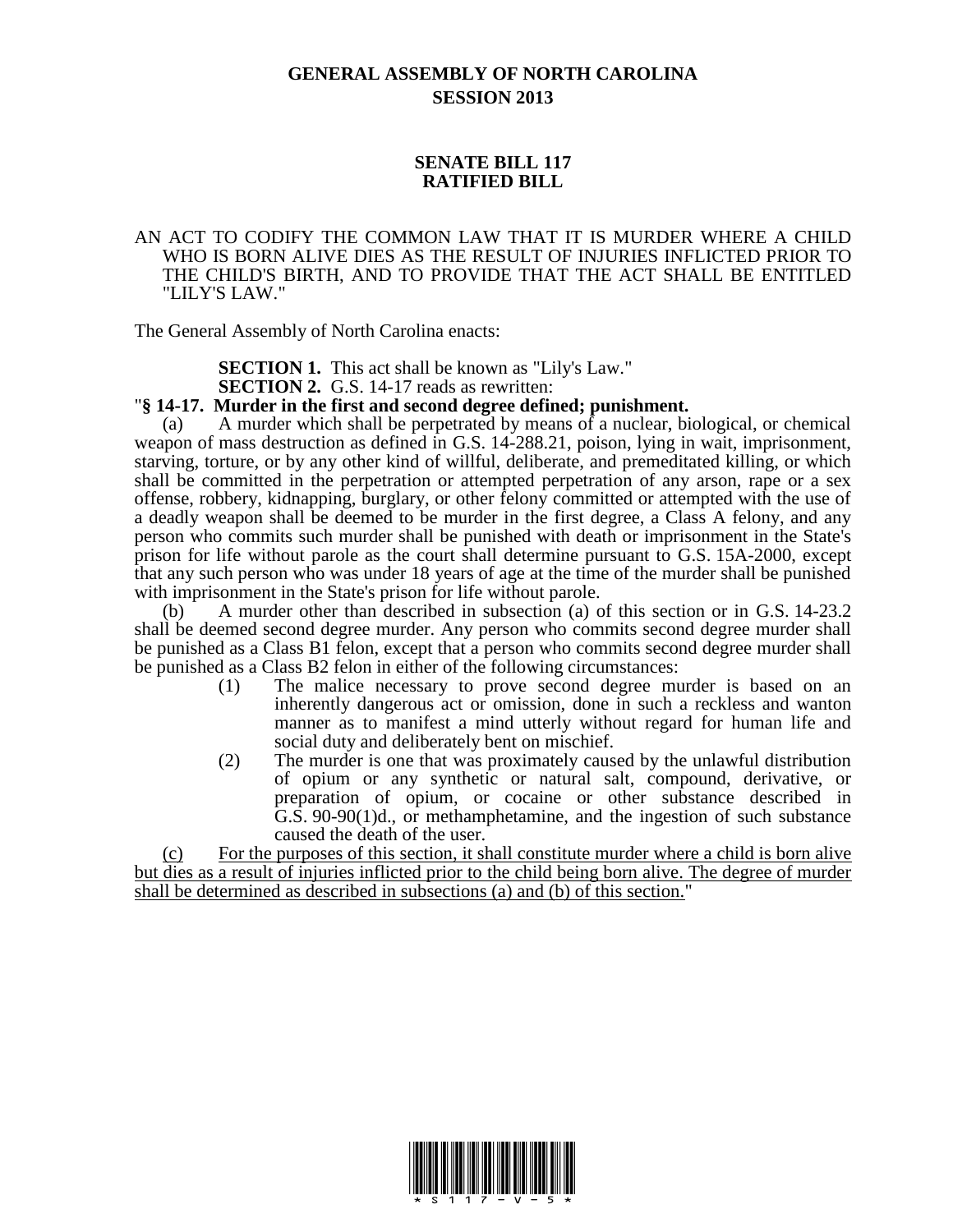## **GENERAL ASSEMBLY OF NORTH CAROLINA SESSION 2013**

## **SENATE BILL 117 RATIFIED BILL**

## AN ACT TO CODIFY THE COMMON LAW THAT IT IS MURDER WHERE A CHILD WHO IS BORN ALIVE DIES AS THE RESULT OF INJURIES INFLICTED PRIOR TO THE CHILD'S BIRTH, AND TO PROVIDE THAT THE ACT SHALL BE ENTITLED "LILY'S LAW."

The General Assembly of North Carolina enacts:

**SECTION 1.** This act shall be known as "Lily's Law."

**SECTION 2.** G.S. 14-17 reads as rewritten:

## "**§ 14-17. Murder in the first and second degree defined; punishment.**

(a) A murder which shall be perpetrated by means of a nuclear, biological, or chemical weapon of mass destruction as defined in G.S. 14-288.21, poison, lying in wait, imprisonment, starving, torture, or by any other kind of willful, deliberate, and premeditated killing, or which shall be committed in the perpetration or attempted perpetration of any arson, rape or a sex offense, robbery, kidnapping, burglary, or other felony committed or attempted with the use of a deadly weapon shall be deemed to be murder in the first degree, a Class A felony, and any person who commits such murder shall be punished with death or imprisonment in the State's prison for life without parole as the court shall determine pursuant to G.S. 15A-2000, except that any such person who was under 18 years of age at the time of the murder shall be punished with imprisonment in the State's prison for life without parole.

(b) A murder other than described in subsection (a) of this section or in G.S. 14-23.2 shall be deemed second degree murder. Any person who commits second degree murder shall be punished as a Class B1 felon, except that a person who commits second degree murder shall be punished as a Class B2 felon in either of the following circumstances:

- (1) The malice necessary to prove second degree murder is based on an inherently dangerous act or omission, done in such a reckless and wanton manner as to manifest a mind utterly without regard for human life and social duty and deliberately bent on mischief.
- (2) The murder is one that was proximately caused by the unlawful distribution of opium or any synthetic or natural salt, compound, derivative, or preparation of opium, or cocaine or other substance described in G.S. 90-90(1)d., or methamphetamine, and the ingestion of such substance caused the death of the user.

(c) For the purposes of this section, it shall constitute murder where a child is born alive but dies as a result of injuries inflicted prior to the child being born alive. The degree of murder shall be determined as described in subsections (a) and (b) of this section."